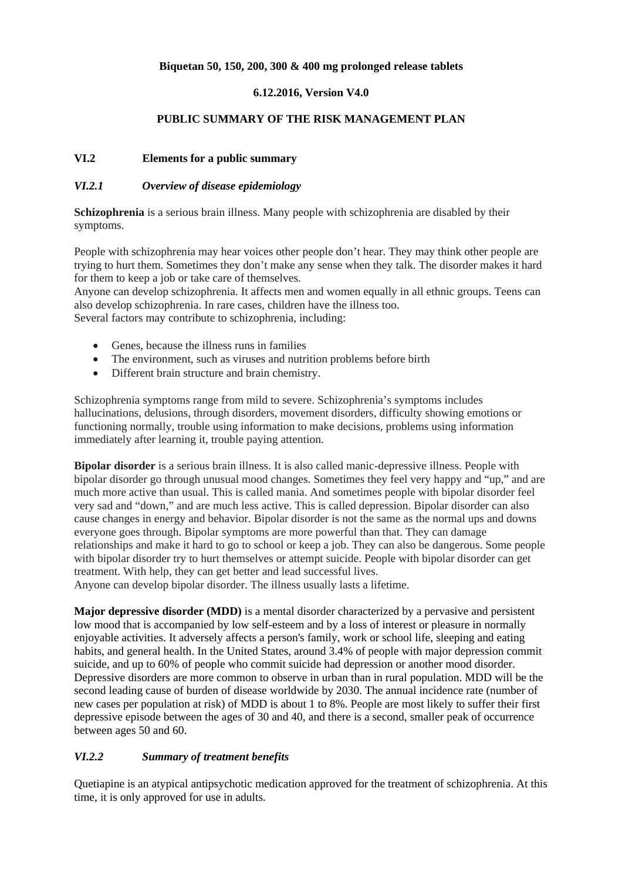## **Biquetan 50, 150, 200, 300 & 400 mg prolonged release tablets**

## **6.12.2016, Version V4.0**

#### **PUBLIC SUMMARY OF THE RISK MANAGEMENT PLAN**

## **VI.2 Elements for a public summary**

#### *VI.2.1 Overview of disease epidemiology*

**Schizophrenia** is a serious brain illness. Many people with schizophrenia are disabled by their symptoms.

People with schizophrenia may hear voices other people don't hear. They may think other people are trying to hurt them. Sometimes they don't make any sense when they talk. The disorder makes it hard for them to keep a job or take care of themselves.

Anyone can develop schizophrenia. It affects men and women equally in all ethnic groups. Teens can also develop schizophrenia. In rare cases, children have the illness too. Several factors may contribute to schizophrenia, including:

- Genes, because the illness runs in families
- The environment, such as viruses and nutrition problems before birth
- Different brain structure and brain chemistry.

Schizophrenia symptoms range from mild to severe. Schizophrenia's symptoms includes hallucinations, delusions, through disorders, movement disorders, difficulty showing emotions or functioning normally, trouble using information to make decisions, problems using information immediately after learning it, trouble paying attention.

**Bipolar disorder** is a serious brain illness. It is also called manic-depressive illness. People with bipolar disorder go through unusual mood changes. Sometimes they feel very happy and "up," and are much more active than usual. This is called mania. And sometimes people with bipolar disorder feel very sad and "down," and are much less active. This is called depression. Bipolar disorder can also cause changes in energy and behavior. Bipolar disorder is not the same as the normal ups and downs everyone goes through. Bipolar symptoms are more powerful than that. They can damage relationships and make it hard to go to school or keep a job. They can also be dangerous. Some people with bipolar disorder try to hurt themselves or attempt suicide. People with bipolar disorder can get treatment. With help, they can get better and lead successful lives.

Anyone can develop bipolar disorder. The illness usually lasts a lifetime.

**Major depressive disorder (MDD)** is a mental disorder characterized by a pervasive and persistent low mood that is accompanied by low self-esteem and by a loss of interest or pleasure in normally enjoyable activities. It adversely affects a person's family, work or school life, sleeping and eating habits, and general health. In the United States, around 3.4% of people with major depression commit suicide, and up to 60% of people who commit suicide had depression or another mood disorder. Depressive disorders are more common to observe in urban than in rural population. MDD will be the second leading cause of burden of disease worldwide by 2030. The annual incidence rate (number of new cases per population at risk) of MDD is about 1 to 8%. People are most likely to suffer their first depressive episode between the ages of 30 and 40, and there is a second, smaller peak of occurrence between ages 50 and 60.

#### *VI.2.2 Summary of treatment benefits*

Quetiapine is an atypical antipsychotic medication approved for the treatment of schizophrenia. At this time, it is only approved for use in adults.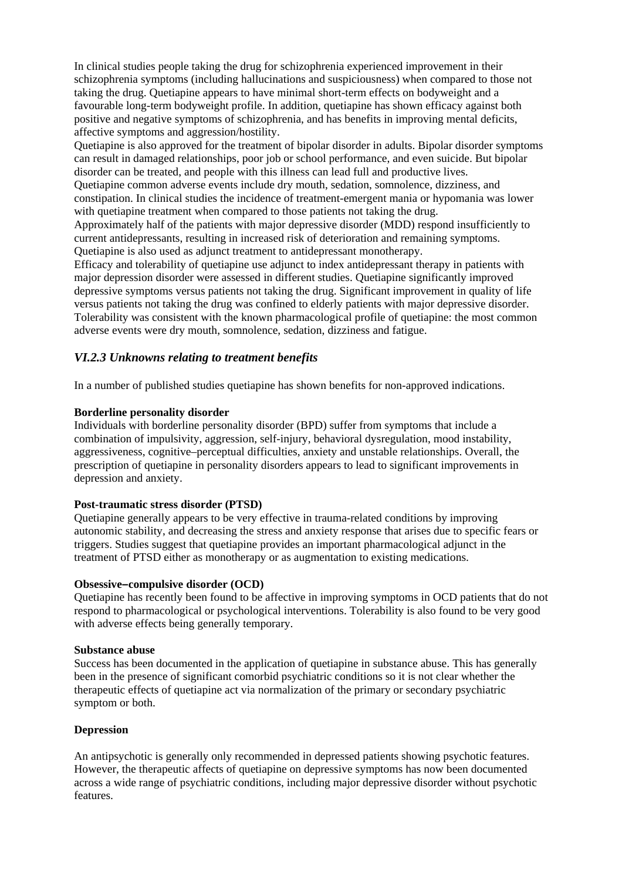In clinical studies people taking the drug for schizophrenia experienced improvement in their schizophrenia symptoms (including hallucinations and suspiciousness) when compared to those not taking the drug. Quetiapine appears to have minimal short-term effects on bodyweight and a favourable long-term bodyweight profile. In addition, quetiapine has shown efficacy against both positive and negative symptoms of schizophrenia, and has benefits in improving mental deficits, affective symptoms and aggression/hostility.

Quetiapine is also approved for the treatment of bipolar disorder in adults. Bipolar disorder symptoms can result in damaged relationships, poor job or school performance, and even suicide. But bipolar disorder can be treated, and people with this illness can lead full and productive lives.

Quetiapine common adverse events include dry mouth, sedation, somnolence, dizziness, and constipation. In clinical studies the incidence of treatment-emergent mania or hypomania was lower with quetiapine treatment when compared to those patients not taking the drug.

Approximately half of the patients with major depressive disorder (MDD) respond insufficiently to current antidepressants, resulting in increased risk of deterioration and remaining symptoms. Quetiapine is also used as adjunct treatment to antidepressant monotherapy.

Efficacy and tolerability of quetiapine use adjunct to index antidepressant therapy in patients with major depression disorder were assessed in different studies. Quetiapine significantly improved depressive symptoms versus patients not taking the drug. Significant improvement in quality of life versus patients not taking the drug was confined to elderly patients with major depressive disorder. Tolerability was consistent with the known pharmacological profile of quetiapine: the most common adverse events were dry mouth, somnolence, sedation, dizziness and fatigue.

## *VI.2.3 Unknowns relating to treatment benefits*

In a number of published studies quetiapine has shown benefits for non-approved indications.

#### **Borderline personality disorder**

Individuals with borderline personality disorder (BPD) suffer from symptoms that include a combination of impulsivity, aggression, self-injury, behavioral dysregulation, mood instability, aggressiveness, cognitive–perceptual difficulties, anxiety and unstable relationships. Overall, the prescription of quetiapine in personality disorders appears to lead to significant improvements in depression and anxiety.

#### **Post-traumatic stress disorder (PTSD)**

Quetiapine generally appears to be very effective in trauma-related conditions by improving autonomic stability, and decreasing the stress and anxiety response that arises due to specific fears or triggers. Studies suggest that quetiapine provides an important pharmacological adjunct in the treatment of PTSD either as monotherapy or as augmentation to existing medications.

#### **Obsessive–compulsive disorder (OCD)**

Quetiapine has recently been found to be affective in improving symptoms in OCD patients that do not respond to pharmacological or psychological interventions. Tolerability is also found to be very good with adverse effects being generally temporary.

#### **Substance abuse**

Success has been documented in the application of quetiapine in substance abuse. This has generally been in the presence of significant comorbid psychiatric conditions so it is not clear whether the therapeutic effects of quetiapine act via normalization of the primary or secondary psychiatric symptom or both.

#### **Depression**

An antipsychotic is generally only recommended in depressed patients showing psychotic features. However, the therapeutic affects of quetiapine on depressive symptoms has now been documented across a wide range of psychiatric conditions, including major depressive disorder without psychotic features.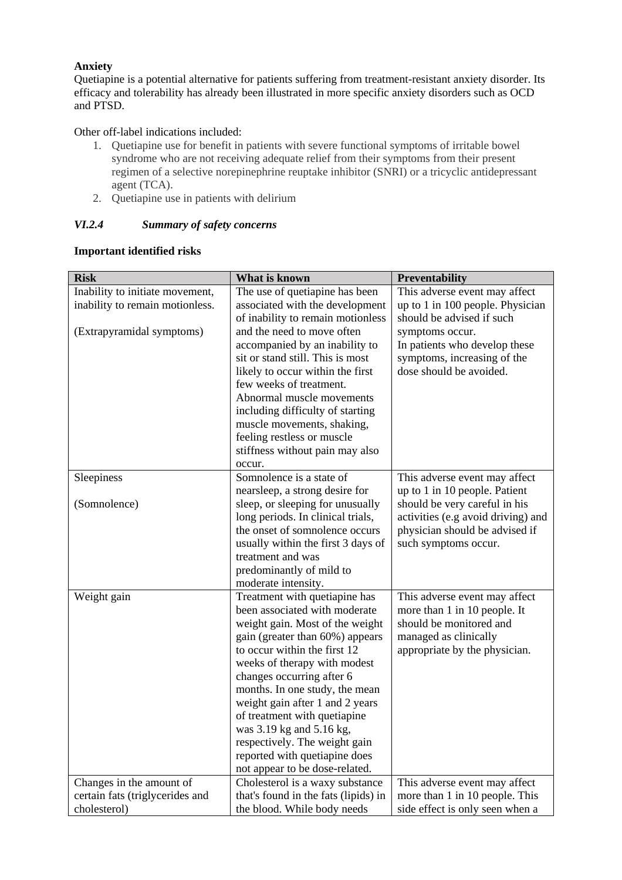## **Anxiety**

Quetiapine is a potential alternative for patients suffering from treatment-resistant anxiety disorder. Its efficacy and tolerability has already been illustrated in more specific anxiety disorders such as OCD and PTSD.

## Other off-label indications included:

- 1. Quetiapine use for benefit in patients with severe functional symptoms of irritable bowel syndrome who are not receiving adequate relief from their symptoms from their present regimen of a selective norepinephrine reuptake inhibitor (SNRI) or a tricyclic antidepressant agent (TCA).
- 2. Quetiapine use in patients with delirium

## *VI.2.4 Summary of safety concerns*

#### **Important identified risks**

| <b>Risk</b>                     | What is known                        | Preventability                     |
|---------------------------------|--------------------------------------|------------------------------------|
| Inability to initiate movement, | The use of quetiapine has been       | This adverse event may affect      |
| inability to remain motionless. | associated with the development      | up to 1 in 100 people. Physician   |
|                                 | of inability to remain motionless    | should be advised if such          |
| (Extrapyramidal symptoms)       | and the need to move often           | symptoms occur.                    |
|                                 | accompanied by an inability to       | In patients who develop these      |
|                                 | sit or stand still. This is most     | symptoms, increasing of the        |
|                                 | likely to occur within the first     | dose should be avoided.            |
|                                 | few weeks of treatment.              |                                    |
|                                 | Abnormal muscle movements            |                                    |
|                                 | including difficulty of starting     |                                    |
|                                 | muscle movements, shaking,           |                                    |
|                                 | feeling restless or muscle           |                                    |
|                                 | stiffness without pain may also      |                                    |
|                                 | occur.                               |                                    |
| Sleepiness                      | Somnolence is a state of             | This adverse event may affect      |
|                                 | nearsleep, a strong desire for       | up to 1 in 10 people. Patient      |
| (Somnolence)                    | sleep, or sleeping for unusually     | should be very careful in his      |
|                                 | long periods. In clinical trials,    | activities (e.g avoid driving) and |
|                                 | the onset of somnolence occurs       | physician should be advised if     |
|                                 | usually within the first 3 days of   | such symptoms occur.               |
|                                 | treatment and was                    |                                    |
|                                 | predominantly of mild to             |                                    |
|                                 | moderate intensity.                  |                                    |
| Weight gain                     | Treatment with quetiapine has        | This adverse event may affect      |
|                                 | been associated with moderate        | more than 1 in 10 people. It       |
|                                 | weight gain. Most of the weight      | should be monitored and            |
|                                 | gain (greater than 60%) appears      | managed as clinically              |
|                                 | to occur within the first 12         | appropriate by the physician.      |
|                                 | weeks of therapy with modest         |                                    |
|                                 | changes occurring after 6            |                                    |
|                                 | months. In one study, the mean       |                                    |
|                                 | weight gain after 1 and 2 years      |                                    |
|                                 | of treatment with quetiapine         |                                    |
|                                 | was 3.19 kg and 5.16 kg,             |                                    |
|                                 | respectively. The weight gain        |                                    |
|                                 | reported with quetiapine does        |                                    |
|                                 | not appear to be dose-related.       |                                    |
| Changes in the amount of        | Cholesterol is a waxy substance      | This adverse event may affect      |
| certain fats (triglycerides and | that's found in the fats (lipids) in | more than 1 in 10 people. This     |
| cholesterol)                    | the blood. While body needs          | side effect is only seen when a    |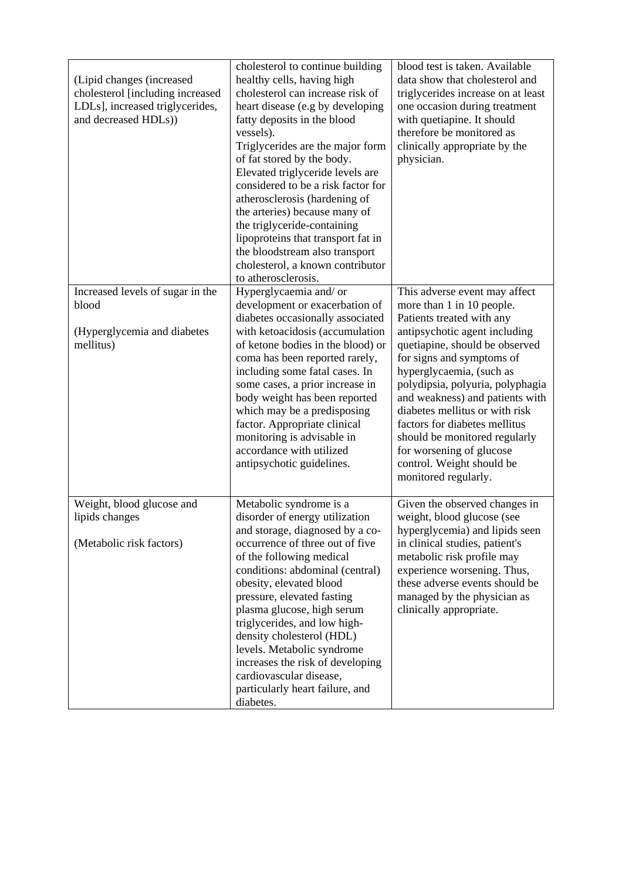| (Lipid changes (increased)<br>cholesterol [including increased<br>LDLs], increased triglycerides,<br>and decreased HDLs)) | cholesterol to continue building<br>healthy cells, having high<br>cholesterol can increase risk of<br>heart disease (e.g by developing<br>fatty deposits in the blood<br>vessels).<br>Triglycerides are the major form<br>of fat stored by the body.<br>Elevated triglyceride levels are<br>considered to be a risk factor for<br>atherosclerosis (hardening of<br>the arteries) because many of<br>the triglyceride-containing<br>lipoproteins that transport fat in<br>the bloodstream also transport<br>cholesterol, a known contributor<br>to atherosclerosis. | blood test is taken. Available<br>data show that cholesterol and<br>triglycerides increase on at least<br>one occasion during treatment<br>with quetiapine. It should<br>therefore be monitored as<br>clinically appropriate by the<br>physician.                                                                                                                                                                                                                               |
|---------------------------------------------------------------------------------------------------------------------------|--------------------------------------------------------------------------------------------------------------------------------------------------------------------------------------------------------------------------------------------------------------------------------------------------------------------------------------------------------------------------------------------------------------------------------------------------------------------------------------------------------------------------------------------------------------------|---------------------------------------------------------------------------------------------------------------------------------------------------------------------------------------------------------------------------------------------------------------------------------------------------------------------------------------------------------------------------------------------------------------------------------------------------------------------------------|
| Increased levels of sugar in the<br>blood<br>(Hyperglycemia and diabetes<br>mellitus)                                     | Hyperglycaemia and/or<br>development or exacerbation of<br>diabetes occasionally associated<br>with ketoacidosis (accumulation<br>of ketone bodies in the blood) or<br>coma has been reported rarely,<br>including some fatal cases. In<br>some cases, a prior increase in<br>body weight has been reported<br>which may be a predisposing<br>factor. Appropriate clinical<br>monitoring is advisable in<br>accordance with utilized<br>antipsychotic guidelines.                                                                                                  | This adverse event may affect<br>more than 1 in 10 people.<br>Patients treated with any<br>antipsychotic agent including<br>quetiapine, should be observed<br>for signs and symptoms of<br>hyperglycaemia, (such as<br>polydipsia, polyuria, polyphagia<br>and weakness) and patients with<br>diabetes mellitus or with risk<br>factors for diabetes mellitus<br>should be monitored regularly<br>for worsening of glucose<br>control. Weight should be<br>monitored regularly. |
| Weight, blood glucose and<br>lipids changes<br>(Metabolic risk factors)                                                   | Metabolic syndrome is a<br>disorder of energy utilization<br>and storage, diagnosed by a co-<br>occurrence of three out of five<br>of the following medical<br>conditions: abdominal (central)<br>obesity, elevated blood<br>pressure, elevated fasting<br>plasma glucose, high serum<br>triglycerides, and low high-<br>density cholesterol (HDL)<br>levels. Metabolic syndrome<br>increases the risk of developing<br>cardiovascular disease,<br>particularly heart failure, and<br>diabetes.                                                                    | Given the observed changes in<br>weight, blood glucose (see<br>hyperglycemia) and lipids seen<br>in clinical studies, patient's<br>metabolic risk profile may<br>experience worsening. Thus,<br>these adverse events should be<br>managed by the physician as<br>clinically appropriate.                                                                                                                                                                                        |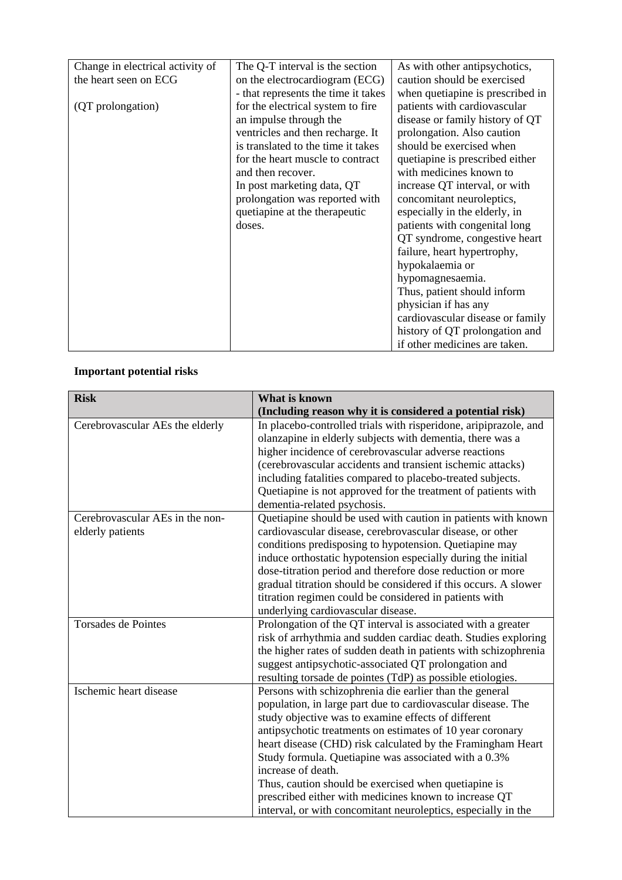| Change in electrical activity of | The Q-T interval is the section     | As with other antipsychotics,    |
|----------------------------------|-------------------------------------|----------------------------------|
| the heart seen on ECG            | on the electrocardiogram (ECG)      | caution should be exercised      |
|                                  | - that represents the time it takes | when quetiapine is prescribed in |
| (QT prolongation)                | for the electrical system to fire   | patients with cardiovascular     |
|                                  | an impulse through the              | disease or family history of QT  |
|                                  | ventricles and then recharge. It    | prolongation. Also caution       |
|                                  | is translated to the time it takes  | should be exercised when         |
|                                  | for the heart muscle to contract    | quetiapine is prescribed either  |
|                                  | and then recover.                   | with medicines known to          |
|                                  | In post marketing data, QT          | increase QT interval, or with    |
|                                  | prolongation was reported with      | concomitant neuroleptics,        |
|                                  | quetiapine at the therapeutic       | especially in the elderly, in    |
|                                  | doses.                              | patients with congenital long    |
|                                  |                                     | QT syndrome, congestive heart    |
|                                  |                                     | failure, heart hypertrophy,      |
|                                  |                                     | hypokalaemia or                  |
|                                  |                                     | hypomagnesaemia.                 |
|                                  |                                     | Thus, patient should inform      |
|                                  |                                     | physician if has any             |
|                                  |                                     | cardiovascular disease or family |
|                                  |                                     | history of QT prolongation and   |
|                                  |                                     | if other medicines are taken.    |

# **Important potential risks**

| <b>Risk</b>                     | <b>What is known</b>                                             |  |
|---------------------------------|------------------------------------------------------------------|--|
|                                 | (Including reason why it is considered a potential risk)         |  |
| Cerebrovascular AEs the elderly | In placebo-controlled trials with risperidone, aripiprazole, and |  |
|                                 | olanzapine in elderly subjects with dementia, there was a        |  |
|                                 | higher incidence of cerebrovascular adverse reactions            |  |
|                                 | (cerebrovascular accidents and transient ischemic attacks)       |  |
|                                 | including fatalities compared to placebo-treated subjects.       |  |
|                                 | Quetiapine is not approved for the treatment of patients with    |  |
|                                 | dementia-related psychosis.                                      |  |
| Cerebrovascular AEs in the non- | Quetiapine should be used with caution in patients with known    |  |
| elderly patients                | cardiovascular disease, cerebrovascular disease, or other        |  |
|                                 | conditions predisposing to hypotension. Quetiapine may           |  |
|                                 | induce orthostatic hypotension especially during the initial     |  |
|                                 | dose-titration period and therefore dose reduction or more       |  |
|                                 | gradual titration should be considered if this occurs. A slower  |  |
|                                 | titration regimen could be considered in patients with           |  |
|                                 | underlying cardiovascular disease.                               |  |
| <b>Torsades de Pointes</b>      | Prolongation of the QT interval is associated with a greater     |  |
|                                 | risk of arrhythmia and sudden cardiac death. Studies exploring   |  |
|                                 | the higher rates of sudden death in patients with schizophrenia  |  |
|                                 | suggest antipsychotic-associated QT prolongation and             |  |
|                                 | resulting torsade de pointes (TdP) as possible etiologies.       |  |
| Ischemic heart disease          | Persons with schizophrenia die earlier than the general          |  |
|                                 | population, in large part due to cardiovascular disease. The     |  |
|                                 | study objective was to examine effects of different              |  |
|                                 | antipsychotic treatments on estimates of 10 year coronary        |  |
|                                 | heart disease (CHD) risk calculated by the Framingham Heart      |  |
|                                 | Study formula. Quetiapine was associated with a 0.3%             |  |
|                                 | increase of death.                                               |  |
|                                 | Thus, caution should be exercised when quetiapine is             |  |
|                                 | prescribed either with medicines known to increase QT            |  |
|                                 | interval, or with concomitant neuroleptics, especially in the    |  |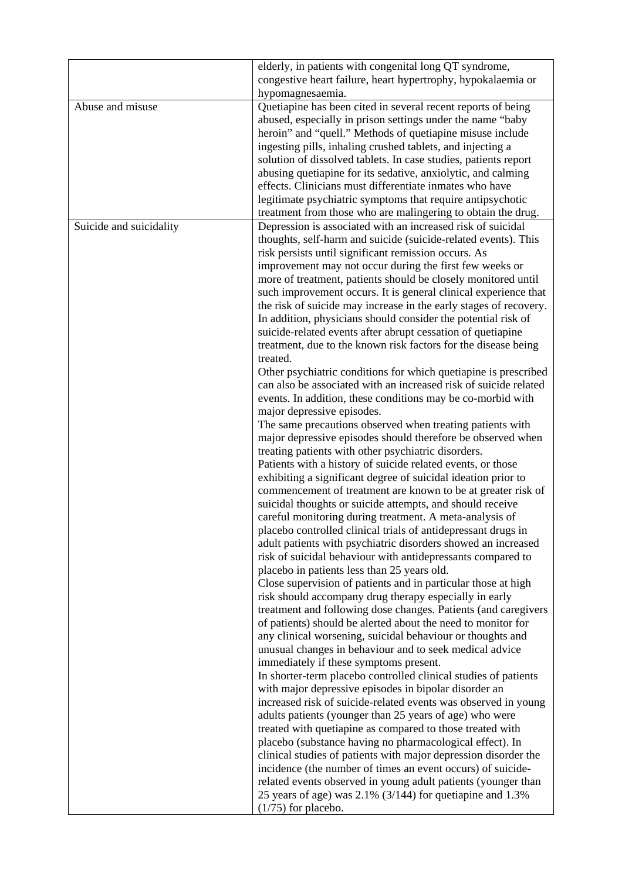|                         | elderly, in patients with congenital long QT syndrome,<br>congestive heart failure, heart hypertrophy, hypokalaemia or<br>hypomagnesaemia.                                                                                                                                                                                                                                                                                                                                                                                                                                                                                                                                                                                                                                                                                                                                                                                                                                                                                                                                                                                                                                                                                                                                                                                                                                                                                                                                                                                                                                                                                                                                                                                                                                                                                                                                                                                                                                                                                                                                                                                                                                                                                                                                                                                                                                                                                                                                                                                                                                                                                                                                                                                                                                           |
|-------------------------|--------------------------------------------------------------------------------------------------------------------------------------------------------------------------------------------------------------------------------------------------------------------------------------------------------------------------------------------------------------------------------------------------------------------------------------------------------------------------------------------------------------------------------------------------------------------------------------------------------------------------------------------------------------------------------------------------------------------------------------------------------------------------------------------------------------------------------------------------------------------------------------------------------------------------------------------------------------------------------------------------------------------------------------------------------------------------------------------------------------------------------------------------------------------------------------------------------------------------------------------------------------------------------------------------------------------------------------------------------------------------------------------------------------------------------------------------------------------------------------------------------------------------------------------------------------------------------------------------------------------------------------------------------------------------------------------------------------------------------------------------------------------------------------------------------------------------------------------------------------------------------------------------------------------------------------------------------------------------------------------------------------------------------------------------------------------------------------------------------------------------------------------------------------------------------------------------------------------------------------------------------------------------------------------------------------------------------------------------------------------------------------------------------------------------------------------------------------------------------------------------------------------------------------------------------------------------------------------------------------------------------------------------------------------------------------------------------------------------------------------------------------------------------------|
| Abuse and misuse        | Quetiapine has been cited in several recent reports of being<br>abused, especially in prison settings under the name "baby<br>heroin" and "quell." Methods of quetiapine misuse include<br>ingesting pills, inhaling crushed tablets, and injecting a<br>solution of dissolved tablets. In case studies, patients report<br>abusing quetiapine for its sedative, anxiolytic, and calming<br>effects. Clinicians must differentiate inmates who have<br>legitimate psychiatric symptoms that require antipsychotic<br>treatment from those who are malingering to obtain the drug.                                                                                                                                                                                                                                                                                                                                                                                                                                                                                                                                                                                                                                                                                                                                                                                                                                                                                                                                                                                                                                                                                                                                                                                                                                                                                                                                                                                                                                                                                                                                                                                                                                                                                                                                                                                                                                                                                                                                                                                                                                                                                                                                                                                                    |
| Suicide and suicidality | Depression is associated with an increased risk of suicidal<br>thoughts, self-harm and suicide (suicide-related events). This<br>risk persists until significant remission occurs. As<br>improvement may not occur during the first few weeks or<br>more of treatment, patients should be closely monitored until<br>such improvement occurs. It is general clinical experience that<br>the risk of suicide may increase in the early stages of recovery.<br>In addition, physicians should consider the potential risk of<br>suicide-related events after abrupt cessation of quetiapine<br>treatment, due to the known risk factors for the disease being<br>treated.<br>Other psychiatric conditions for which quetiapine is prescribed<br>can also be associated with an increased risk of suicide related<br>events. In addition, these conditions may be co-morbid with<br>major depressive episodes.<br>The same precautions observed when treating patients with<br>major depressive episodes should therefore be observed when<br>treating patients with other psychiatric disorders.<br>Patients with a history of suicide related events, or those<br>exhibiting a significant degree of suicidal ideation prior to<br>commencement of treatment are known to be at greater risk of<br>suicidal thoughts or suicide attempts, and should receive<br>careful monitoring during treatment. A meta-analysis of<br>placebo controlled clinical trials of antidepressant drugs in<br>adult patients with psychiatric disorders showed an increased<br>risk of suicidal behaviour with antidepressants compared to<br>placebo in patients less than 25 years old.<br>Close supervision of patients and in particular those at high<br>risk should accompany drug therapy especially in early<br>treatment and following dose changes. Patients (and caregivers<br>of patients) should be alerted about the need to monitor for<br>any clinical worsening, suicidal behaviour or thoughts and<br>unusual changes in behaviour and to seek medical advice<br>immediately if these symptoms present.<br>In shorter-term placebo controlled clinical studies of patients<br>with major depressive episodes in bipolar disorder an<br>increased risk of suicide-related events was observed in young<br>adults patients (younger than 25 years of age) who were<br>treated with quetiapine as compared to those treated with<br>placebo (substance having no pharmacological effect). In<br>clinical studies of patients with major depression disorder the<br>incidence (the number of times an event occurs) of suicide-<br>related events observed in young adult patients (younger than<br>25 years of age) was $2.1\%$ (3/144) for quetiapine and 1.3%<br>$(1/75)$ for placebo. |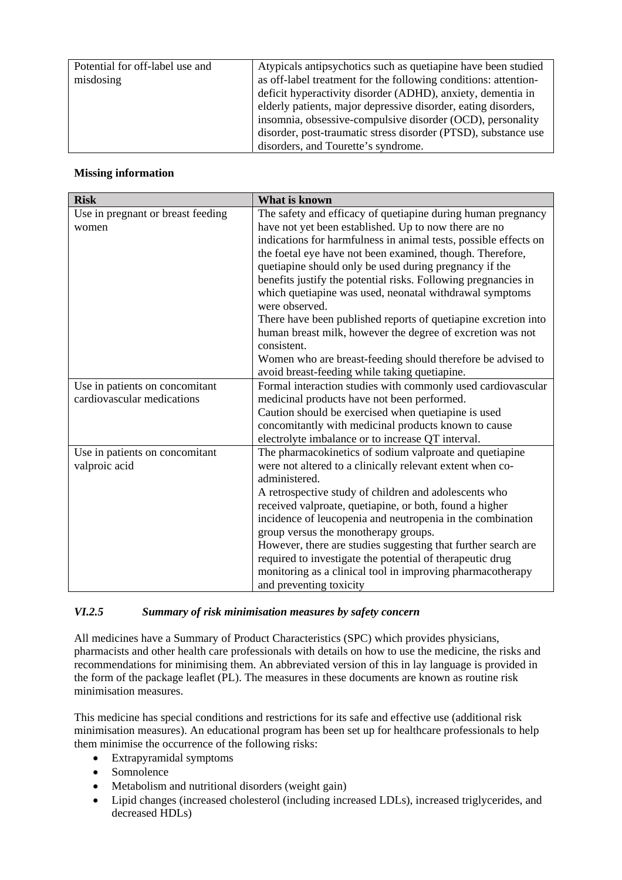| Potential for off-label use and | Atypicals antipsychotics such as quetiapine have been studied   |
|---------------------------------|-----------------------------------------------------------------|
| misdosing                       | as off-label treatment for the following conditions: attention- |
|                                 | deficit hyperactivity disorder (ADHD), anxiety, dementia in     |
|                                 | elderly patients, major depressive disorder, eating disorders,  |
|                                 | insomnia, obsessive-compulsive disorder (OCD), personality      |
|                                 | disorder, post-traumatic stress disorder (PTSD), substance use  |
|                                 | disorders, and Tourette's syndrome.                             |

## **Missing information**

| <b>Risk</b>                       | What is known                                                             |
|-----------------------------------|---------------------------------------------------------------------------|
| Use in pregnant or breast feeding | The safety and efficacy of quetiapine during human pregnancy              |
| women                             | have not yet been established. Up to now there are no                     |
|                                   | indications for harmfulness in animal tests, possible effects on          |
|                                   | the foetal eye have not been examined, though. Therefore,                 |
|                                   | quetiapine should only be used during pregnancy if the                    |
|                                   | benefits justify the potential risks. Following pregnancies in            |
|                                   | which quetiapine was used, neonatal withdrawal symptoms<br>were observed. |
|                                   | There have been published reports of quetiapine excretion into            |
|                                   | human breast milk, however the degree of excretion was not                |
|                                   | consistent.                                                               |
|                                   | Women who are breast-feeding should therefore be advised to               |
|                                   | avoid breast-feeding while taking quetiapine.                             |
| Use in patients on concomitant    | Formal interaction studies with commonly used cardiovascular              |
| cardiovascular medications        | medicinal products have not been performed.                               |
|                                   | Caution should be exercised when quetiapine is used                       |
|                                   | concomitantly with medicinal products known to cause                      |
|                                   | electrolyte imbalance or to increase QT interval.                         |
| Use in patients on concomitant    | The pharmacokinetics of sodium valproate and quetiapine                   |
| valproic acid                     | were not altered to a clinically relevant extent when co-                 |
|                                   | administered.                                                             |
|                                   | A retrospective study of children and adolescents who                     |
|                                   | received valproate, quetiapine, or both, found a higher                   |
|                                   | incidence of leucopenia and neutropenia in the combination                |
|                                   | group versus the monotherapy groups.                                      |
|                                   | However, there are studies suggesting that further search are             |
|                                   | required to investigate the potential of therapeutic drug                 |
|                                   | monitoring as a clinical tool in improving pharmacotherapy                |
|                                   | and preventing toxicity                                                   |

## *VI.2.5 Summary of risk minimisation measures by safety concern*

All medicines have a Summary of Product Characteristics (SPC) which provides physicians, pharmacists and other health care professionals with details on how to use the medicine, the risks and recommendations for minimising them. An abbreviated version of this in lay language is provided in the form of the package leaflet (PL). The measures in these documents are known as routine risk minimisation measures.

This medicine has special conditions and restrictions for its safe and effective use (additional risk minimisation measures). An educational program has been set up for healthcare professionals to help them minimise the occurrence of the following risks:

- Extrapyramidal symptoms
- Somnolence
- Metabolism and nutritional disorders (weight gain)
- Lipid changes (increased cholesterol (including increased LDLs), increased triglycerides, and decreased HDLs)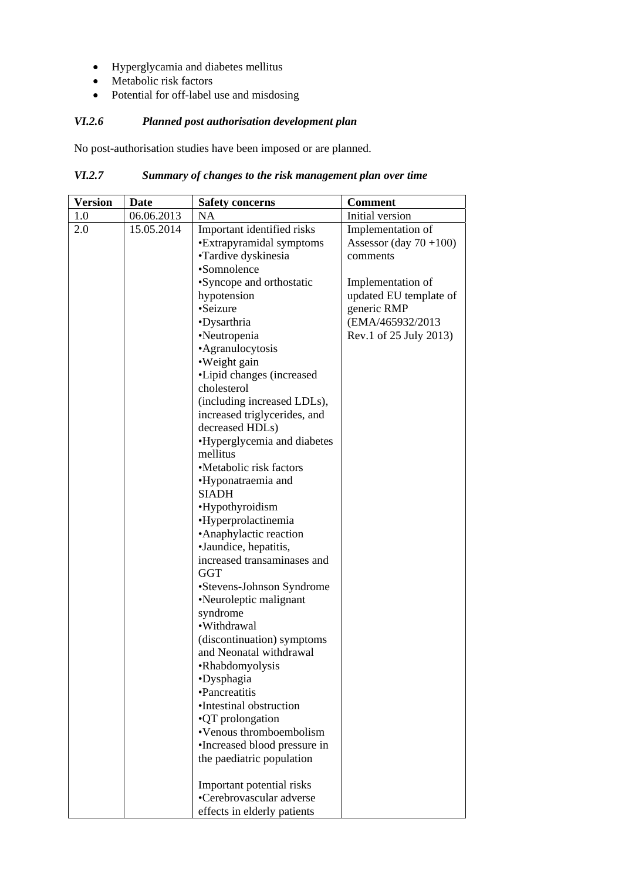- Hyperglycamia and diabetes mellitus
- Metabolic risk factors
- Potential for off-label use and misdosing

# *VI.2.6 Planned post authorisation development plan*

No post-authorisation studies have been imposed or are planned.

# *VI.2.7 Summary of changes to the risk management plan over time*

| <b>Version</b> | <b>Date</b> | <b>Safety concerns</b>       | <b>Comment</b>           |
|----------------|-------------|------------------------------|--------------------------|
| 1.0            | 06.06.2013  | NA                           | Initial version          |
| 2.0            | 15.05.2014  | Important identified risks   | Implementation of        |
|                |             | •Extrapyramidal symptoms     | Assessor (day $70+100$ ) |
|                |             | •Tardive dyskinesia          | comments                 |
|                |             | •Somnolence                  |                          |
|                |             | •Syncope and orthostatic     | Implementation of        |
|                |             | hypotension                  | updated EU template of   |
|                |             | •Seizure                     | generic RMP              |
|                |             | •Dysarthria                  | (EMA/465932/2013)        |
|                |             | •Neutropenia                 | Rev.1 of 25 July 2013)   |
|                |             | •Agranulocytosis             |                          |
|                |             | •Weight gain                 |                          |
|                |             | •Lipid changes (increased    |                          |
|                |             | cholesterol                  |                          |
|                |             | (including increased LDLs),  |                          |
|                |             | increased triglycerides, and |                          |
|                |             | decreased HDLs)              |                          |
|                |             | •Hyperglycemia and diabetes  |                          |
|                |             | mellitus                     |                          |
|                |             | •Metabolic risk factors      |                          |
|                |             | •Hyponatraemia and           |                          |
|                |             | SIADH                        |                          |
|                |             | •Hypothyroidism              |                          |
|                |             | •Hyperprolactinemia          |                          |
|                |             | • Anaphylactic reaction      |                          |
|                |             | ·Jaundice, hepatitis,        |                          |
|                |             | increased transaminases and  |                          |
|                |             | <b>GGT</b>                   |                          |
|                |             | •Stevens-Johnson Syndrome    |                          |
|                |             | •Neuroleptic malignant       |                          |
|                |             | syndrome                     |                          |
|                |             | ·Withdrawal                  |                          |
|                |             | (discontinuation) symptoms   |                          |
|                |             | and Neonatal withdrawal      |                          |
|                |             | •Rhabdomyolysis              |                          |
|                |             | •Dysphagia                   |                          |
|                |             | •Pancreatitis                |                          |
|                |             | •Intestinal obstruction      |                          |
|                |             | •QT prolongation             |                          |
|                |             | •Venous thromboembolism      |                          |
|                |             | •Increased blood pressure in |                          |
|                |             | the paediatric population    |                          |
|                |             | Important potential risks    |                          |
|                |             | •Cerebrovascular adverse     |                          |
|                |             | effects in elderly patients  |                          |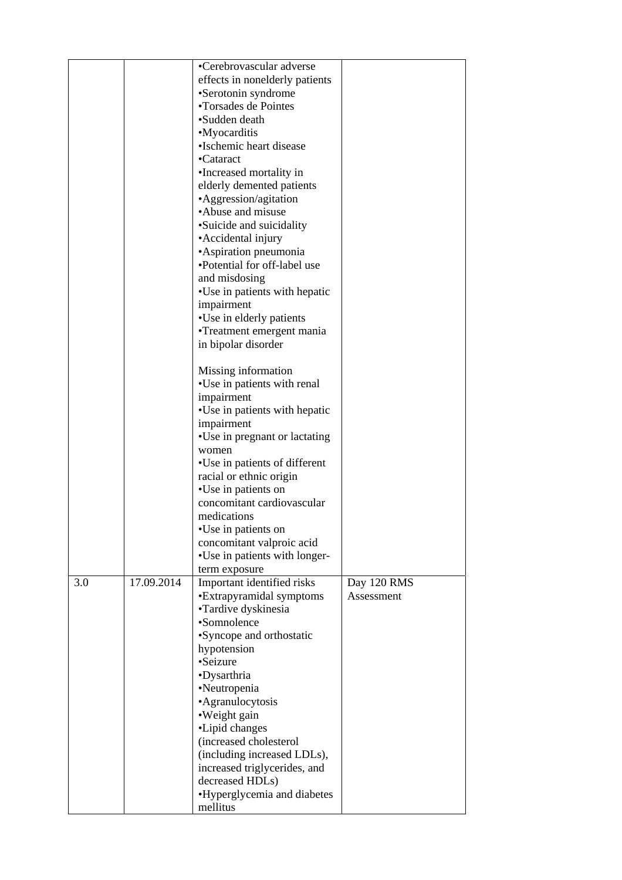|     |            | •Cerebrovascular adverse<br>effects in nonelderly patients<br>•Serotonin syndrome<br>•Torsades de Pointes<br>•Sudden death<br>•Myocarditis<br>•Ischemic heart disease<br>•Cataract<br>·Increased mortality in<br>elderly demented patients<br>•Aggression/agitation<br>•Abuse and misuse<br>•Suicide and suicidality<br>• Accidental injury<br>•Aspiration pneumonia<br>•Potential for off-label use<br>and misdosing<br>•Use in patients with hepatic<br>impairment<br>•Use in elderly patients<br>•Treatment emergent mania<br>in bipolar disorder |                           |
|-----|------------|------------------------------------------------------------------------------------------------------------------------------------------------------------------------------------------------------------------------------------------------------------------------------------------------------------------------------------------------------------------------------------------------------------------------------------------------------------------------------------------------------------------------------------------------------|---------------------------|
|     |            | Missing information<br>•Use in patients with renal<br>impairment<br>•Use in patients with hepatic<br>impairment<br>•Use in pregnant or lactating<br>women<br>•Use in patients of different<br>racial or ethnic origin<br>•Use in patients on<br>concomitant cardiovascular<br>medications<br>•Use in patients on                                                                                                                                                                                                                                     |                           |
|     |            | concomitant valproic acid<br>•Use in patients with longer-                                                                                                                                                                                                                                                                                                                                                                                                                                                                                           |                           |
|     |            | term exposure                                                                                                                                                                                                                                                                                                                                                                                                                                                                                                                                        |                           |
| 3.0 | 17.09.2014 | Important identified risks<br>•Extrapyramidal symptoms<br>•Tardive dyskinesia<br>•Somnolence<br>•Syncope and orthostatic<br>hypotension<br>•Seizure<br>•Dysarthria<br>•Neutropenia<br>•Agranulocytosis<br>•Weight gain<br>•Lipid changes<br>(increased cholesterol<br>(including increased LDLs),<br>increased triglycerides, and<br>decreased HDLs)<br>•Hyperglycemia and diabetes                                                                                                                                                                  | Day 120 RMS<br>Assessment |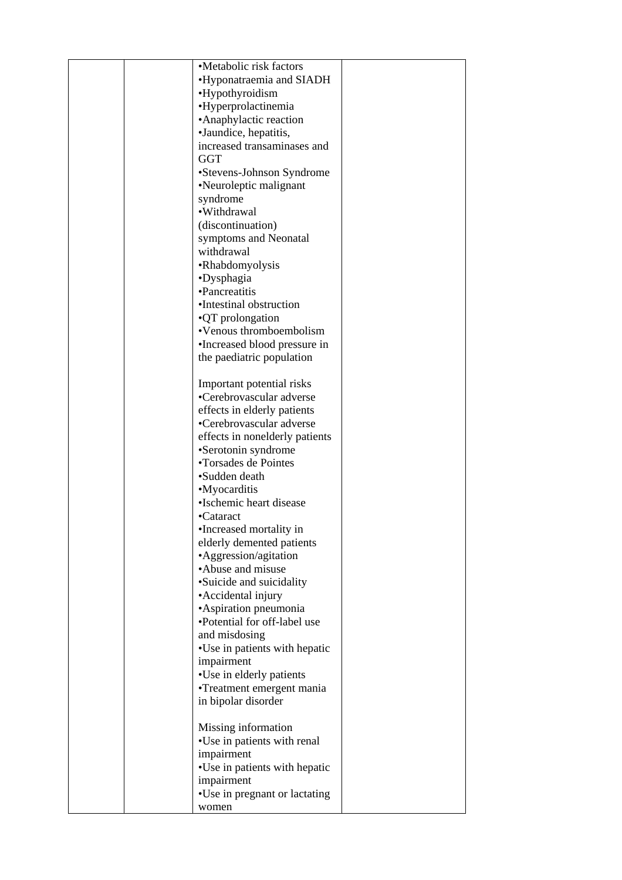| •Metabolic risk factors        |  |
|--------------------------------|--|
| •Hyponatraemia and SIADH       |  |
|                                |  |
| •Hypothyroidism                |  |
| •Hyperprolactinemia            |  |
| • Anaphylactic reaction        |  |
| •Jaundice, hepatitis,          |  |
| increased transaminases and    |  |
|                                |  |
| GGT                            |  |
| •Stevens-Johnson Syndrome      |  |
| •Neuroleptic malignant         |  |
| syndrome                       |  |
| ·Withdrawal                    |  |
| (discontinuation)              |  |
|                                |  |
| symptoms and Neonatal          |  |
| withdrawal                     |  |
| •Rhabdomyolysis                |  |
| •Dysphagia                     |  |
| •Pancreatitis                  |  |
| •Intestinal obstruction        |  |
|                                |  |
| •QT prolongation               |  |
| •Venous thromboembolism        |  |
| •Increased blood pressure in   |  |
| the paediatric population      |  |
|                                |  |
| Important potential risks      |  |
|                                |  |
| •Cerebrovascular adverse       |  |
| effects in elderly patients    |  |
| •Cerebrovascular adverse       |  |
| effects in nonelderly patients |  |
| •Serotonin syndrome            |  |
| •Torsades de Pointes           |  |
| •Sudden death                  |  |
|                                |  |
| •Myocarditis                   |  |
| ·Ischemic heart disease        |  |
| •Cataract                      |  |
| •Increased mortality in        |  |
| elderly demented patients      |  |
|                                |  |
| •Aggression/agitation          |  |
| •Abuse and misuse              |  |
| •Suicide and suicidality       |  |
| • Accidental injury            |  |
| •Aspiration pneumonia          |  |
| •Potential for off-label use   |  |
| and misdosing                  |  |
|                                |  |
| •Use in patients with hepatic  |  |
| impairment                     |  |
| •Use in elderly patients       |  |
| •Treatment emergent mania      |  |
| in bipolar disorder            |  |
|                                |  |
|                                |  |
| Missing information            |  |
| •Use in patients with renal    |  |
| impairment                     |  |
| •Use in patients with hepatic  |  |
| impairment                     |  |
|                                |  |
| •Use in pregnant or lactating  |  |
| women                          |  |